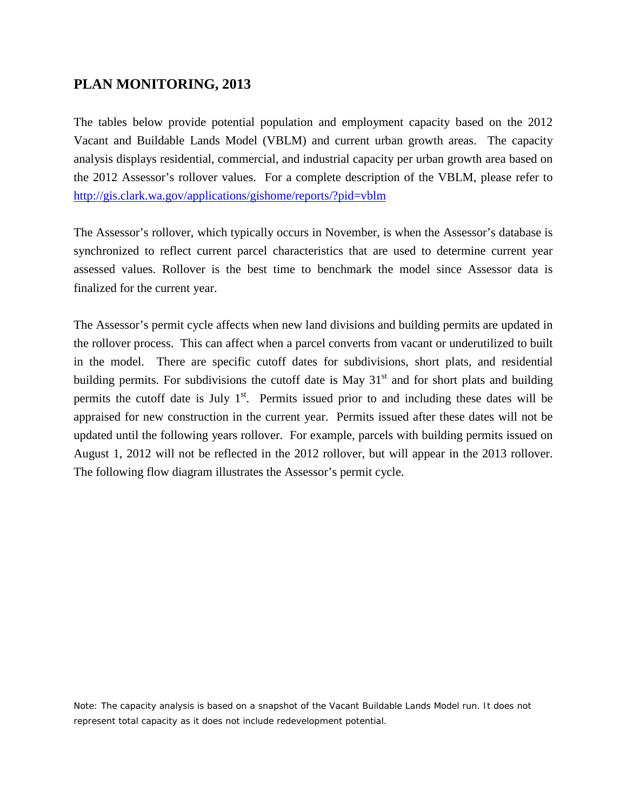## **PLAN MONITORING, 2013**

The tables below provide potential population and employment capacity based on the 2012 Vacant and Buildable Lands Model (VBLM) and current urban growth areas. The capacity analysis displays residential, commercial, and industrial capacity per urban growth area based on the 2012 Assessor's rollover values. For a complete description of the VBLM, please refer to <http://gis.clark.wa.gov/applications/gishome/reports/?pid=vblm>

The Assessor's rollover, which typically occurs in November, is when the Assessor's database is synchronized to reflect current parcel characteristics that are used to determine current year assessed values. Rollover is the best time to benchmark the model since Assessor data is finalized for the current year.

The Assessor's permit cycle affects when new land divisions and building permits are updated in the rollover process. This can affect when a parcel converts from vacant or underutilized to built in the model. There are specific cutoff dates for subdivisions, short plats, and residential building permits. For subdivisions the cutoff date is May  $31<sup>st</sup>$  and for short plats and building permits the cutoff date is July  $1<sup>st</sup>$ . Permits issued prior to and including these dates will be appraised for new construction in the current year. Permits issued after these dates will not be updated until the following years rollover. For example, parcels with building permits issued on August 1, 2012 will not be reflected in the 2012 rollover, but will appear in the 2013 rollover. The following flow diagram illustrates the Assessor's permit cycle.

Note: The capacity analysis is based on a snapshot of the Vacant Buildable Lands Model run. It does not represent total capacity as it does not include redevelopment potential.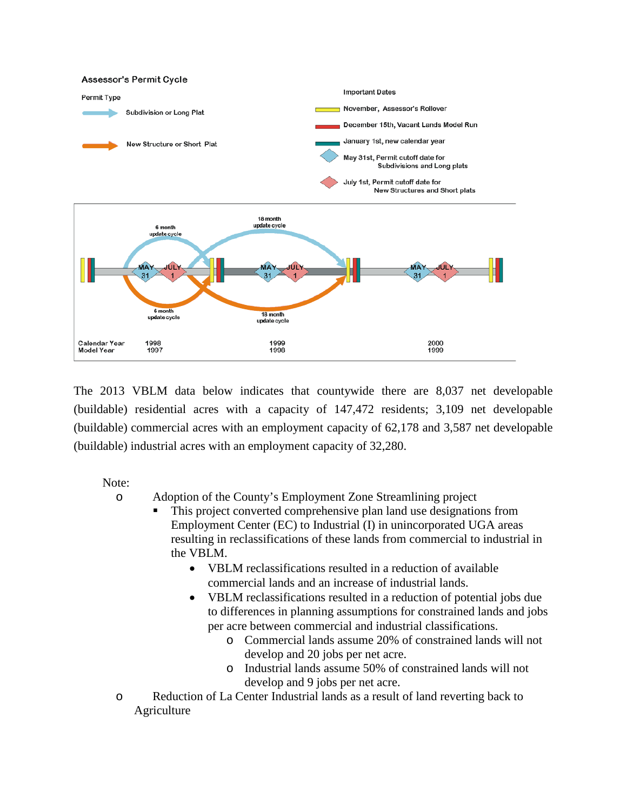

The 2013 VBLM data below indicates that countywide there are 8,037 net developable (buildable) residential acres with a capacity of 147,472 residents; 3,109 net developable (buildable) commercial acres with an employment capacity of 62,178 and 3,587 net developable (buildable) industrial acres with an employment capacity of 32,280.

Note:

o Adoption of the County's Employment Zone Streamlining project

- This project converted comprehensive plan land use designations from Employment Center (EC) to Industrial (I) in unincorporated UGA areas resulting in reclassifications of these lands from commercial to industrial in the VBLM.
	- VBLM reclassifications resulted in a reduction of available commercial lands and an increase of industrial lands.
	- VBLM reclassifications resulted in a reduction of potential jobs due to differences in planning assumptions for constrained lands and jobs per acre between commercial and industrial classifications.
		- o Commercial lands assume 20% of constrained lands will not develop and 20 jobs per net acre.
		- o Industrial lands assume 50% of constrained lands will not develop and 9 jobs per net acre.
- o Reduction of La Center Industrial lands as a result of land reverting back to Agriculture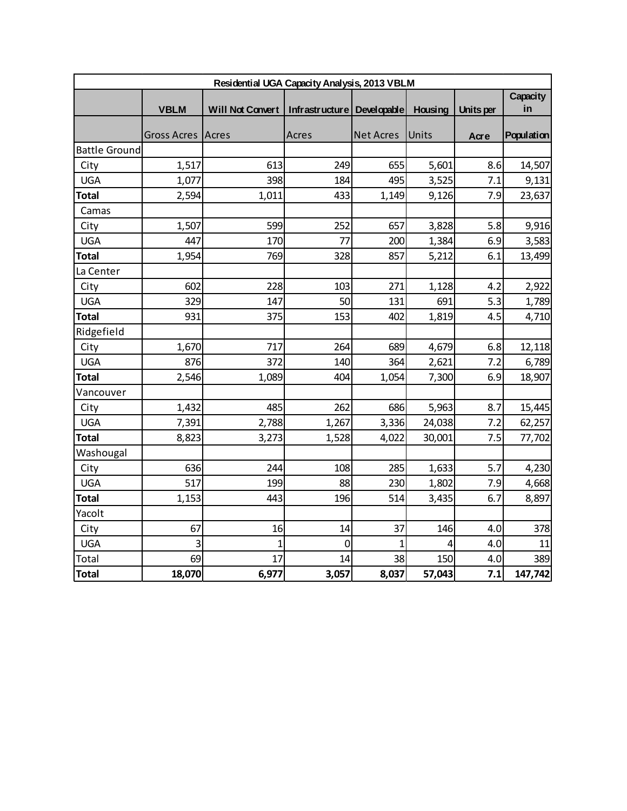|                      | Residential UGA Capacity Analysis, 2013 VBLM |                                                 |                |                  |         |           |                |  |
|----------------------|----------------------------------------------|-------------------------------------------------|----------------|------------------|---------|-----------|----------------|--|
|                      | <b>VBLM</b>                                  | Will Not Convert   Infrastructure   Developable |                |                  | Housing | Units per | Capacity<br>in |  |
|                      | Gross Acres   Acres                          |                                                 | Acres          | <b>Net Acres</b> | Units   | Acre      | Population     |  |
| <b>Battle Ground</b> |                                              |                                                 |                |                  |         |           |                |  |
| City                 | 1,517                                        | 613                                             | 249            | 655              | 5,601   | 8.6       | 14,507         |  |
| <b>UGA</b>           | 1,077                                        | 398                                             | 184            | 495              | 3,525   | 7.1       | 9,131          |  |
| <b>Total</b>         | 2,594                                        | 1,011                                           | 433            | 1,149            | 9,126   | 7.9       | 23,637         |  |
| Camas                |                                              |                                                 |                |                  |         |           |                |  |
| City                 | 1,507                                        | 599                                             | 252            | 657              | 3,828   | 5.8       | 9,916          |  |
| <b>UGA</b>           | 447                                          | 170                                             | 77             | 200              | 1,384   | 6.9       | 3,583          |  |
| <b>Total</b>         | 1,954                                        | 769                                             | 328            | 857              | 5,212   | 6.1       | 13,499         |  |
| La Center            |                                              |                                                 |                |                  |         |           |                |  |
| City                 | 602                                          | 228                                             | 103            | 271              | 1,128   | 4.2       | 2,922          |  |
| <b>UGA</b>           | 329                                          | 147                                             | 50             | 131              | 691     | 5.3       | 1,789          |  |
| <b>Total</b>         | 931                                          | 375                                             | 153            | 402              | 1,819   | 4.5       | 4,710          |  |
| Ridgefield           |                                              |                                                 |                |                  |         |           |                |  |
| City                 | 1,670                                        | 717                                             | 264            | 689              | 4,679   | 6.8       | 12,118         |  |
| <b>UGA</b>           | 876                                          | 372                                             | 140            | 364              | 2,621   | 7.2       | 6,789          |  |
| <b>Total</b>         | 2,546                                        | 1,089                                           | 404            | 1,054            | 7,300   | 6.9       | 18,907         |  |
| Vancouver            |                                              |                                                 |                |                  |         |           |                |  |
| City                 | 1,432                                        | 485                                             | 262            | 686              | 5,963   | 8.7       | 15,445         |  |
| <b>UGA</b>           | 7,391                                        | 2,788                                           | 1,267          | 3,336            | 24,038  | 7.2       | 62,257         |  |
| <b>Total</b>         | 8,823                                        | 3,273                                           | 1,528          | 4,022            | 30,001  | 7.5       | 77,702         |  |
| Washougal            |                                              |                                                 |                |                  |         |           |                |  |
| City                 | 636                                          | 244                                             | 108            | 285              | 1,633   | 5.7       | 4,230          |  |
| <b>UGA</b>           | 517                                          | 199                                             | 88             | 230              | 1,802   | 7.9       | 4,668          |  |
| <b>Total</b>         | 1,153                                        | 443                                             | 196            | 514              | 3,435   | 6.7       | 8,897          |  |
| Yacolt               |                                              |                                                 |                |                  |         |           |                |  |
| City                 | 67                                           | 16                                              | 14             | 37               | 146     | 4.0       | 378            |  |
| <b>UGA</b>           | 3                                            | $\mathbf{1}$                                    | $\overline{0}$ | $\mathbf{1}$     | 4       | 4.0       | 11             |  |
| Total                | 69                                           | 17                                              | 14             | 38               | 150     | 4.0       | 389            |  |
| <b>Total</b>         | 18,070                                       | 6,977                                           | 3,057          | 8,037            | 57,043  | 7.1       | 147,742        |  |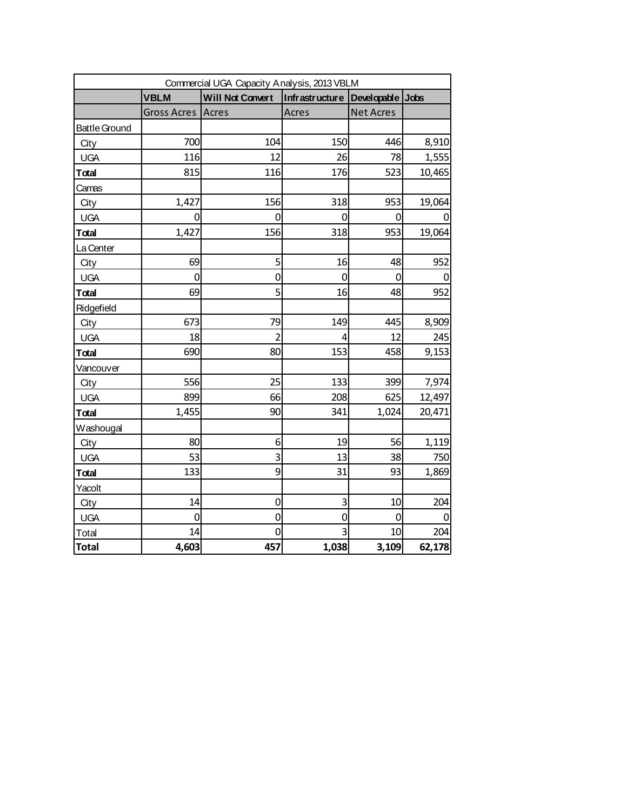|                      |                    | Commercial UGA Capacity Analysis, 2013 VBLM |                |                  |        |
|----------------------|--------------------|---------------------------------------------|----------------|------------------|--------|
|                      | <b>VBLM</b>        | <b>Will Not Convert</b>                     | Infrastructure | Developable Jobs |        |
|                      | <b>Gross Acres</b> | Acres                                       | Acres          | <b>Net Acres</b> |        |
| <b>Battle Ground</b> |                    |                                             |                |                  |        |
| City                 | 700                | 104                                         | 150            | 446              | 8,910  |
| <b>UGA</b>           | 116                | 12                                          | 26             | 78               | 1,555  |
| Total                | 815                | 116                                         | 176            | 523              | 10,465 |
| Camas                |                    |                                             |                |                  |        |
| City                 | 1,427              | 156                                         | 318            | 953              | 19,064 |
| <b>UGA</b>           | 0                  | 0                                           | 0              | 0                |        |
| Total                | 1,427              | 156                                         | 318            | 953              | 19,064 |
| La Center            |                    |                                             |                |                  |        |
| City                 | 69                 | 5                                           | 16             | 48               | 952    |
| <b>UGA</b>           | $\overline{0}$     | $\mathbf 0$                                 | 0              | 0                |        |
| Total                | 69                 | 5                                           | 16             | 48               | 952    |
| Ridgefield           |                    |                                             |                |                  |        |
| City                 | 673                | 79                                          | 149            | 445              | 8,909  |
| <b>UGA</b>           | 18                 | $\overline{2}$                              | 4              | 12               | 245    |
| Total                | 690                | 80                                          | 153            | 458              | 9,153  |
| Vancouver            |                    |                                             |                |                  |        |
| City                 | 556                | 25                                          | 133            | 399              | 7,974  |
| <b>UGA</b>           | 899                | 66                                          | 208            | 625              | 12,497 |
| Total                | 1,455              | 90                                          | 341            | 1,024            | 20,471 |
| Washougal            |                    |                                             |                |                  |        |
| City                 | 80                 | 6                                           | 19             | 56               | 1,119  |
| <b>UGA</b>           | 53                 | 3                                           | 13             | 38               | 750    |
| Total                | 133                | 9                                           | 31             | 93               | 1,869  |
| Yacolt               |                    |                                             |                |                  |        |
| City                 | 14                 | $\mathbf 0$                                 | 3              | 10               | 204    |
| <b>UGA</b>           | 0                  | $\mathbf 0$                                 | 0              | 0                |        |
| Total                | 14                 | 0                                           | 3              | 10               | 204    |
| <b>Total</b>         | 4,603              | 457                                         | 1,038          | 3,109            | 62,178 |